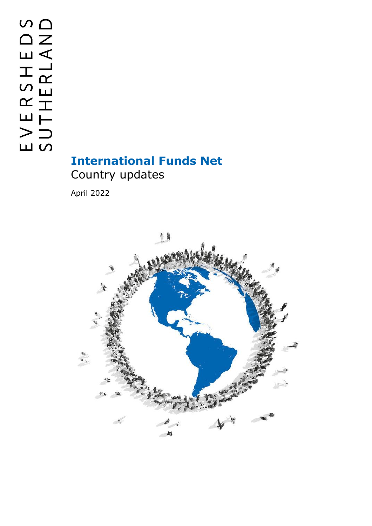# **International Funds Net** Country updates

April 2022

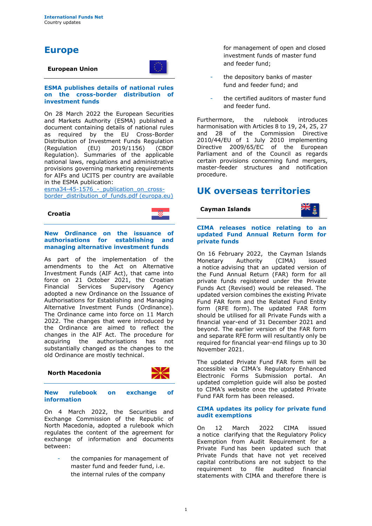## **Europe**

#### **European Union**



#### **ESMA publishes details of national rules on the cross-border distribution of investment funds**

On 28 March 2022 the European Securities and Markets Authority (ESMA) published a document containing details of national rules as required by the EU Cross-Border Distribution of Investment Funds Regulation<br>(Regulation (EU) 2019/1156) (CBDF (EU) 2019/1156) (CBDF Regulation). Summaries of the applicable national laws, regulations and administrative provisions governing marketing requirements for AIFs and UCITS per country are available in the ESMA publication:

esma34-45-1576 - publication on cross[border\\_distribution\\_of\\_funds.pdf \(europa.eu\)](https://www.esma.europa.eu/sites/default/files/library/esma34-45-1576_-_publication_on_cross-border_distribution_of_funds.pdf)



#### **New Ordinance on the issuance of authorisations for establishing and managing alternative investment funds**

As part of the implementation of the amendments to the Act on Alternative Investment Funds (AIF Act), that came into force on 21 October 2021, the Croatian Financial Services Supervisory Agency adopted a new Ordinance on the Issuance of Authorisations for Establishing and Managing Alternative Investment Funds (Ordinance). The Ordinance came into force on 11 March 2022. The changes that were introduced by the Ordinance are aimed to reflect the changes in the AIF Act. The procedure for acquiring the authorisations has not substantially changed as the changes to the old Ordinance are mostly technical.

#### **North Macedonia**



#### **New rulebook on exchange of information**

On 4 March 2022, the Securities and Exchange Commission of the Republic of North Macedonia, adopted a rulebook which regulates the content of the agreement for exchange of information and documents between:

the companies for management of master fund and feeder fund, i.e. the internal rules of the company

for management of open and closed investment funds of master fund and feeder fund;

- the depository banks of master fund and feeder fund; and
- the certified auditors of master fund and feeder fund.

Furthermore, the rulebook introduces harmonisation with Articles 8 to 19, 24, 25, 27 and 28 of the Commission Directive 2010/44/EU of 1 July 2010 implementing Directive 2009/65/EC of the European Parliament and of the Council as regards certain provisions concerning fund mergers, master-feeder structures and notification procedure.

### **UK overseas territories**

#### **Cayman Islands**



#### **CIMA releases notice relating to an updated Fund Annual Return form for private funds**

On 16 February 2022, the Cayman Islands Monetary Authority (CIMA) issued a notice advising that an updated version of the Fund Annual Return (FAR) form for all private funds registered under the Private Funds Act (Revised) would be released. The updated version combines the existing Private Fund FAR form and the Related Fund Entity form (RFE form). The updated FAR form should be utilised for all Private Funds with a financial year-end of 31 December 2021 and beyond. The earlier version of the FAR form and separate RFE form will resultantly only be required for financial year-end filings up to 30 November 2021.

The updated Private Fund FAR form will be accessible via CIMA's Regulatory Enhanced Electronic Forms Submission portal. An updated completion guide will also be posted to CIMA's website once the updated Private Fund FAR form has been released.

#### **CIMA updates its policy for private fund audit exemptions**

On 12 March 2022 CIMA issued a notice clarifying that the Regulatory Policy Exemption from Audit Requirement for a Private Fund has been updated such that Private Funds that have not yet received capital contributions are not subject to the requirement to file audited financial statements with CIMA and therefore there is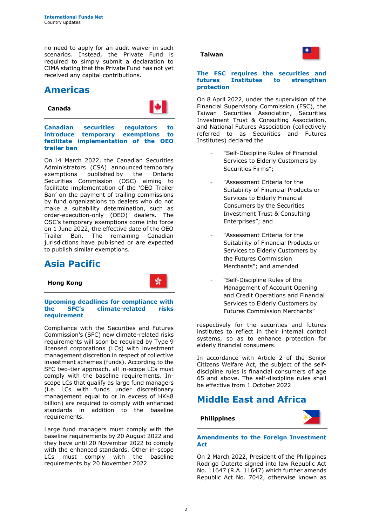no need to apply for an audit waiver in such scenarios. Instead, the Private Fund is required to simply submit a declaration to CIMA stating that the Private Fund has not yet received any capital contributions.

### **Americas**

**Canada**



器

#### **Canadian securities regulators to**  temporary exemptions to **facilitate implementation of the OEO trailer ban**

On 14 March 2022, the Canadian Securities Administrators (CSA) announced temporary exemptions published by the Ontario Securities Commission (OSC) aiming to facilitate implementation of the 'OEO Trailer Ban' on the payment of trailing commissions by fund organizations to dealers who do not make a suitability determination, such as order-execution-only (OEO) dealers. The OSC's temporary exemptions come into force on 1 June 2022, the effective date of the OEO Trailer Ban. The remaining Canadian jurisdictions have published or are expected to publish similar exemptions.

# **Asia Pacific**



#### **Upcoming deadlines for compliance with the SFC's climate-related risks requirement**

Compliance with the Securities and Futures Commission's (SFC) new climate-related risks requirements will soon be required by Type 9 licensed corporations (LCs) with investment management discretion in respect of collective investment schemes (funds). According to the SFC two-tier approach, all in-scope LCs must comply with the baseline requirements. Inscope LCs that qualify as large fund managers (i.e. LCs with funds under discretionary management equal to or in excess of HK\$8 billion) are required to comply with enhanced standards in addition to the baseline requirements.

Large fund managers must comply with the baseline requirements by 20 August 2022 and they have until 20 November 2022 to comply with the enhanced standards. Other in-scope LCs must comply with the baseline requirements by 20 November 2022.

**Taiwan**



#### **The FSC requires the securities and futures Institutes to strengthen protection**

On 8 April 2022, under the supervision of the Financial Supervisory Commission (FSC), the Taiwan Securities Association, Securities Investment Trust & Consulting Association, and National Futures Association (collectively referred to as Securities and Futures Institutes) declared the

- "Self-Discipline Rules of Financial Services to Elderly Customers by Securities Firms";
- "Assessment Criteria for the Suitability of Financial Products or Services to Elderly Financial Consumers by the Securities Investment Trust & Consulting Enterprises"; and
- "Assessment Criteria for the Suitability of Financial Products or Services to Elderly Customers by the Futures Commission Merchants"; and amended
- "Self-Discipline Rules of the Management of Account Opening and Credit Operations and Financial Services to Elderly Customers by Futures Commission Merchants"

respectively for the securities and futures institutes to reflect in their internal control systems, so as to enhance protection for elderly financial consumers.

In accordance with Article 2 of the Senior Citizens Welfare Act, the subject of the selfdiscipline rules is financial consumers of age 65 and above. The self-discipline rules shall be effective from 1 October 2022

# **Middle East and Africa**

**Philippines**



#### **Amendments to the Foreign Investment Act**

On 2 March 2022, President of the Philippines Rodrigo Duterte signed into law Republic Act No. 11647 (R.A. 11647) which further amends Republic Act No. 7042, otherwise known as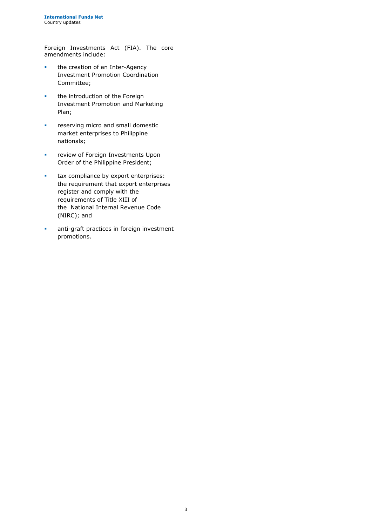Foreign Investments Act (FIA). The core amendments include:

- **•** the creation of an Inter-Agency Investment Promotion Coordination Committee;
- **•** the introduction of the Foreign Investment Promotion and Marketing Plan;
- **•** reserving micro and small domestic market enterprises to Philippine nationals;
- **·** review of Foreign Investments Upon Order of the Philippine President;
- **•** tax compliance by export enterprises: the requirement that export enterprises register and comply with the requirements of Title XIII of the National Internal Revenue Code (NIRC); and
- **■** anti-graft practices in foreign investment promotions.